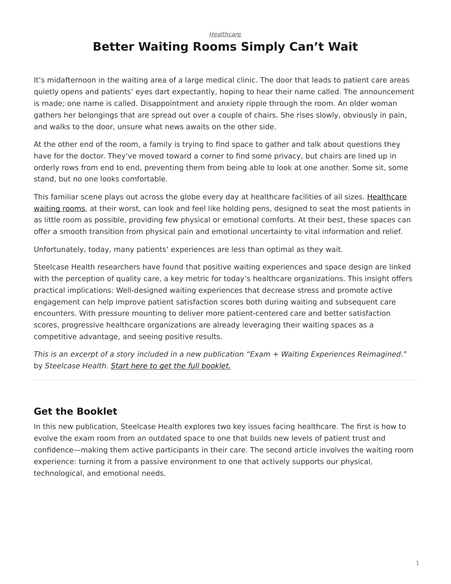*[Healthcare](https://www.steelcase.com/research/topics/healthcare/)*

## <span id="page-0-0"></span>**Better Waiting Rooms Simply Can't Wait**

It's midafternoon in the waiting area of a large medical clinic. The door that leads to patient care areas quietly opens and patients' eyes dart expectantly, hoping to hear their name called. The announcement is made; one name is called. Disappointment and anxiety ripple through the room. An older woman gathers her belongings that are spread out over a couple of chairs. She rises slowly, obviously in pain, and walks to the door, unsure what news awaits on the other side.

At the other end of the room, a family is trying to find space to gather and talk about questions they have for the doctor. They've moved toward a corner to find some privacy, but chairs are lined up in orderly rows from end to end, preventing them from being able to look at one another. Some sit, some stand, but no one looks comfortable.

This familiar scene plays out across the globe every day at healthcare facilities of all sizes. [Healthcare](https://www.steelcase.com/spaces-inspiration/health-spaces-transition-waiting/) [waiting rooms,](https://www.steelcase.com/spaces-inspiration/health-spaces-transition-waiting/) at their worst, can look and feel like holding pens, designed to seat the most patients in as little room as possible, providing few physical or emotional comforts. At their best, these spaces can offer a smooth transition from physical pain and emotional uncertainty to vital information and relief.

Unfortunately, today, many patients' experiences are less than optimal as they wait.

Steelcase Health researchers have found that positive waiting experiences and space design are linked with the perception of quality care, a key metric for today's healthcare organizations. This insight offers practical implications: Well-designed waiting experiences that decrease stress and promote active engagement can help improve patient satisfaction scores both during waiting and subsequent care encounters. With pressure mounting to deliver more patient-centered care and better satisfaction scores, progressive healthcare organizations are already leveraging their waiting spaces as a competitive advantage, and seeing positive results.

*This is an excerpt of a story included in a new publication "Exam + Waiting Experiences Reimagined*." by *Steelcase Health. [Start here to get the full booklet.](http://info.steelcase.com/steelcase-health-special-edition-download?utm_source=Steelcase.com&utm_medium=BlogPost&utm_campaign=2016-NeoCon-Health)*

## **Get the Booklet**

In this new publication, Steelcase Health explores two key issues facing healthcare. The first is how to evolve the exam room from an outdated space to one that builds new levels of patient trust and confidence—making them active participants in their care. The second article involves the waiting room experience: turning it from a passive environment to one that actively supports our physical, technological, and emotional needs.